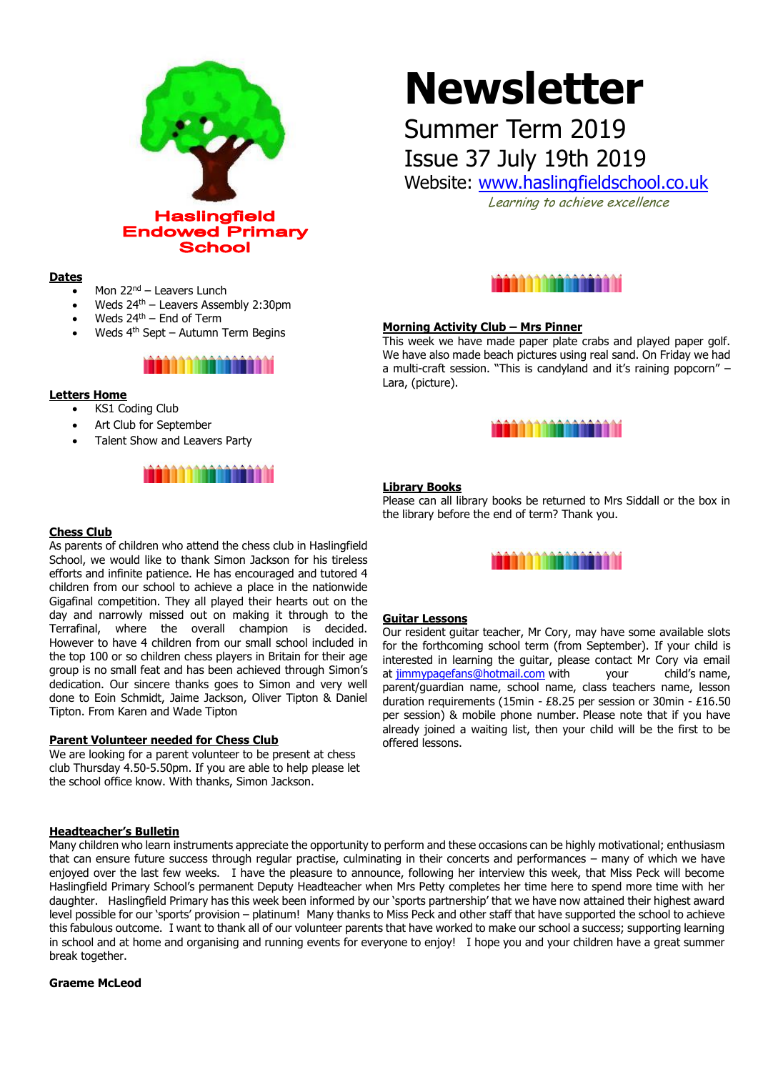

#### **Dates**

- Mon 22<sup>nd</sup> Leavers Lunch
- Weds 24th Leavers Assembly 2:30pm
- Weds  $24<sup>th</sup>$  End of Term
- Weds 4th Sept Autumn Term Begins

### <u>iaaan anaaaaaan n</u>

#### **Letters Home**

**Chess Club**

- KS1 Coding Club
- Art Club for September
- Talent Show and Leavers Party

## 

As parents of children who attend the chess club in Haslingfield School, we would like to thank Simon Jackson for his tireless efforts and infinite patience. He has encouraged and tutored 4 children from our school to achieve a place in the nationwide Gigafinal competition. They all played their hearts out on the day and narrowly missed out on making it through to the Terrafinal, where the overall champion is decided. However to have 4 children from our small school included in the top 100 or so children chess players in Britain for their age group is no small feat and has been achieved through Simon's dedication. Our sincere thanks goes to Simon and very well done to Eoin Schmidt, Jaime Jackson, Oliver Tipton & Daniel

# **Newsletter**

# Summer Term 2019

Issue 37 July 19th 2019

Website: [www.haslingfieldschool.co.uk](http://www.haslingfieldschool.co.uk/)

Learning to achieve excellence



#### **Morning Activity Club – Mrs Pinner**

This week we have made paper plate crabs and played paper golf. We have also made beach pictures using real sand. On Friday we had a multi-craft session. "This is candyland and it's raining popcorn" – Lara, (picture).



#### **Library Books**

Please can all library books be returned to Mrs Siddall or the box in the library before the end of term? Thank you.



#### **Guitar Lessons**

Our resident guitar teacher, Mr Cory, may have some available slots for the forthcoming school term (from September). If your child is interested in learning the guitar, please contact Mr Cory via email at [jimmypagefans@hotmail.com](mailto:jimmypagefans@hotmail.com) with your child's name, parent/guardian name, school name, class teachers name, lesson duration requirements (15min - £8.25 per session or 30min - £16.50 per session) & mobile phone number. Please note that if you have already joined a waiting list, then your child will be the first to be offered lessons.

#### **Headteacher's Bulletin**

Tipton. From Karen and Wade Tipton

**Parent Volunteer needed for Chess Club**

the school office know. With thanks, Simon Jackson.

We are looking for a parent volunteer to be present at chess club Thursday 4.50-5.50pm. If you are able to help please let

Many children who learn instruments appreciate the opportunity to perform and these occasions can be highly motivational; enthusiasm that can ensure future success through regular practise, culminating in their concerts and performances – many of which we have enjoyed over the last few weeks. I have the pleasure to announce, following her interview this week, that Miss Peck will become Haslingfield Primary School's permanent Deputy Headteacher when Mrs Petty completes her time here to spend more time with her daughter. Haslingfield Primary has this week been informed by our 'sports partnership' that we have now attained their highest award level possible for our 'sports' provision – platinum! Many thanks to Miss Peck and other staff that have supported the school to achieve this fabulous outcome. I want to thank all of our volunteer parents that have worked to make our school a success; supporting learning in school and at home and organising and running events for everyone to enjoy! I hope you and your children have a great summer break together.

**Graeme McLeod**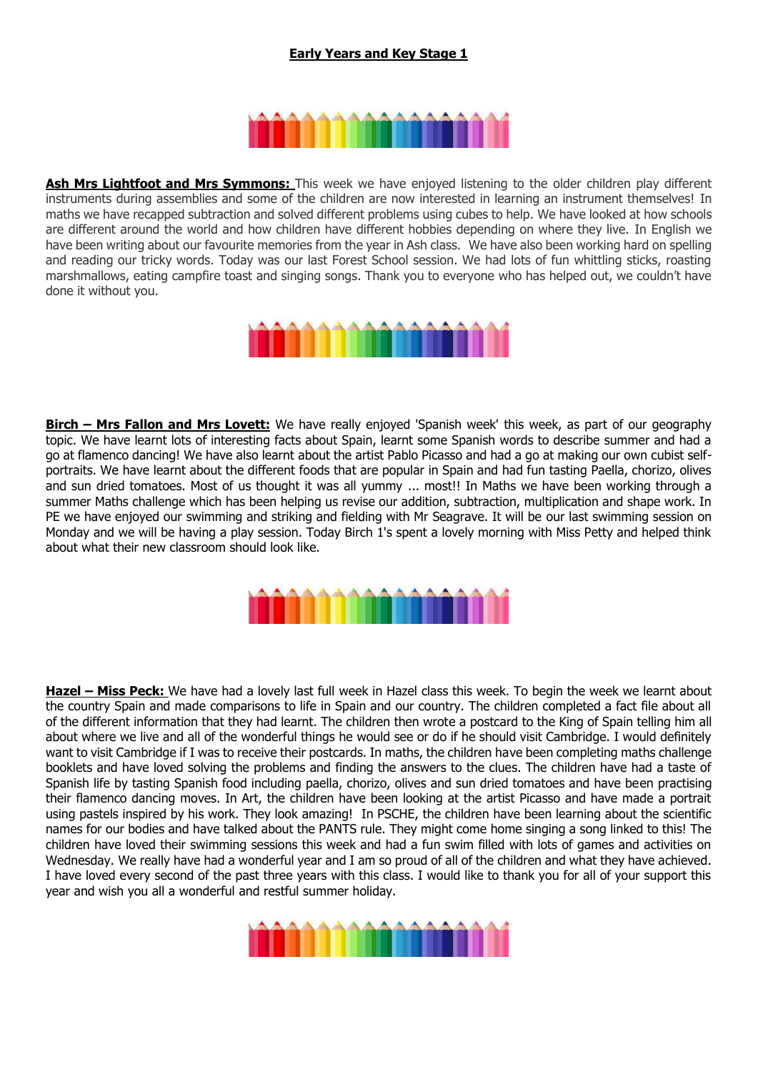### **Early Years and Key Stage 1**

# n an an Ann an A

**Ash Mrs Lightfoot and Mrs Symmons:** This week we have enjoyed listening to the older children play different instruments during assemblies and some of the children are now interested in learning an instrument themselves! In maths we have recapped subtraction and solved different problems using cubes to help. We have looked at how schools are different around the world and how children have different hobbies depending on where they live. In English we have been writing about our favourite memories from the year in Ash class. We have also been working hard on spelling and reading our tricky words. Today was our last Forest School session. We had lots of fun whittling sticks, roasting marshmallows, eating campfire toast and singing songs. Thank you to everyone who has helped out, we couldn't have done it without you.



**Birch – Mrs Fallon and Mrs Lovett:** We have really enjoyed 'Spanish week' this week, as part of our geography topic. We have learnt lots of interesting facts about Spain, learnt some Spanish words to describe summer and had a go at flamenco dancing! We have also learnt about the artist Pablo Picasso and had a go at making our own cubist selfportraits. We have learnt about the different foods that are popular in Spain and had fun tasting Paella, chorizo, olives and sun dried tomatoes. Most of us thought it was all yummy ... most!! In Maths we have been working through a summer Maths challenge which has been helping us revise our addition, subtraction, multiplication and shape work. In PE we have enjoyed our swimming and striking and fielding with Mr Seagrave. It will be our last swimming session on Monday and we will be having a play session. Today Birch 1's spent a lovely morning with Miss Petty and helped think about what their new classroom should look like.



**Hazel – Miss Peck:** We have had a lovely last full week in Hazel class this week. To begin the week we learnt about the country Spain and made comparisons to life in Spain and our country. The children completed a fact file about all of the different information that they had learnt. The children then wrote a postcard to the King of Spain telling him all about where we live and all of the wonderful things he would see or do if he should visit Cambridge. I would definitely want to visit Cambridge if I was to receive their postcards. In maths, the children have been completing maths challenge booklets and have loved solving the problems and finding the answers to the clues. The children have had a taste of Spanish life by tasting Spanish food including paella, chorizo, olives and sun dried tomatoes and have been practising their flamenco dancing moves. In Art, the children have been looking at the artist Picasso and have made a portrait using pastels inspired by his work. They look amazing! In PSCHE, the children have been learning about the scientific names for our bodies and have talked about the PANTS rule. They might come home singing a song linked to this! The children have loved their swimming sessions this week and had a fun swim filled with lots of games and activities on Wednesday. We really have had a wonderful year and I am so proud of all of the children and what they have achieved. I have loved every second of the past three years with this class. I would like to thank you for all of your support this year and wish you all a wonderful and restful summer holiday.